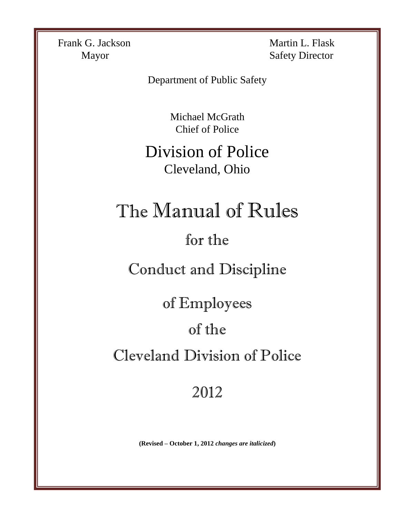Frank G. Jackson Martin L. Flask

Mayor Safety Director

Department of Public Safety

Michael McGrath Chief of Police

Division of Police Cleveland, Ohio

# The Manual of Rules

## for the

Conduct and Discipline

of Employees

## of the

Cleveland Division of Police

## 2012

**(Revised – October 1, 2012** *changes are italicized***)**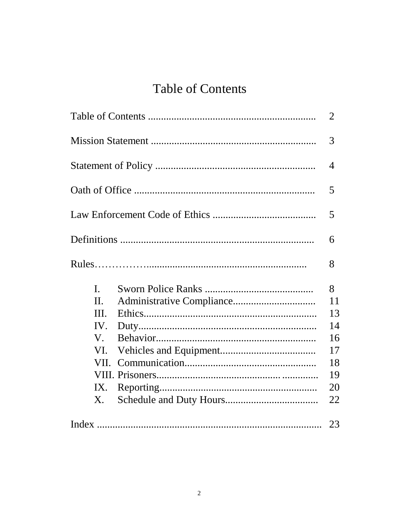## **Table of Contents**

|                                                                                     | 2                                                       |
|-------------------------------------------------------------------------------------|---------------------------------------------------------|
|                                                                                     | 3                                                       |
|                                                                                     | $\overline{4}$                                          |
|                                                                                     | 5                                                       |
|                                                                                     | 5                                                       |
|                                                                                     | 6                                                       |
|                                                                                     | 8                                                       |
| $\mathbf{I}$ .<br>$\Pi$ .<br>III.<br>IV.<br>$V_{\cdot}$<br>VI.<br>VII.<br>IX.<br>Х. | 8<br>11<br>13<br>14<br>16<br>17<br>18<br>19<br>20<br>22 |
|                                                                                     |                                                         |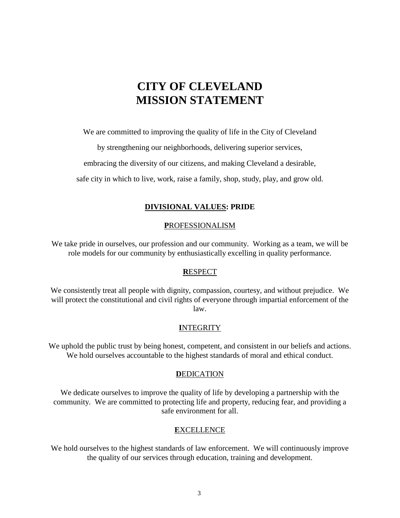## **CITY OF CLEVELAND MISSION STATEMENT**

We are committed to improving the quality of life in the City of Cleveland

by strengthening our neighborhoods, delivering superior services,

embracing the diversity of our citizens, and making Cleveland a desirable,

safe city in which to live, work, raise a family, shop, study, play, and grow old.

#### **DIVISIONAL VALUES: PRIDE**

#### **P**ROFESSIONALISM

We take pride in ourselves, our profession and our community. Working as a team, we will be role models for our community by enthusiastically excelling in quality performance.

#### **R**ESPECT

We consistently treat all people with dignity, compassion, courtesy, and without prejudice. We will protect the constitutional and civil rights of everyone through impartial enforcement of the law.

#### **I**NTEGRITY

We uphold the public trust by being honest, competent, and consistent in our beliefs and actions. We hold ourselves accountable to the highest standards of moral and ethical conduct.

#### **DEDICATION**

We dedicate ourselves to improve the quality of life by developing a partnership with the community. We are committed to protecting life and property, reducing fear, and providing a safe environment for all.

#### **E**XCELLENCE

We hold ourselves to the highest standards of law enforcement. We will continuously improve the quality of our services through education, training and development.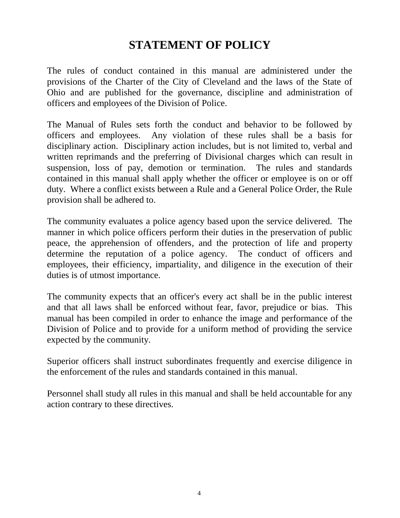## **STATEMENT OF POLICY**

The rules of conduct contained in this manual are administered under the provisions of the Charter of the City of Cleveland and the laws of the State of Ohio and are published for the governance, discipline and administration of officers and employees of the Division of Police.

The Manual of Rules sets forth the conduct and behavior to be followed by officers and employees. Any violation of these rules shall be a basis for disciplinary action. Disciplinary action includes, but is not limited to, verbal and written reprimands and the preferring of Divisional charges which can result in suspension, loss of pay, demotion or termination. The rules and standards contained in this manual shall apply whether the officer or employee is on or off duty. Where a conflict exists between a Rule and a General Police Order, the Rule provision shall be adhered to.

The community evaluates a police agency based upon the service delivered. The manner in which police officers perform their duties in the preservation of public peace, the apprehension of offenders, and the protection of life and property determine the reputation of a police agency. The conduct of officers and employees, their efficiency, impartiality, and diligence in the execution of their duties is of utmost importance.

The community expects that an officer's every act shall be in the public interest and that all laws shall be enforced without fear, favor, prejudice or bias. This manual has been compiled in order to enhance the image and performance of the Division of Police and to provide for a uniform method of providing the service expected by the community.

Superior officers shall instruct subordinates frequently and exercise diligence in the enforcement of the rules and standards contained in this manual.

Personnel shall study all rules in this manual and shall be held accountable for any action contrary to these directives.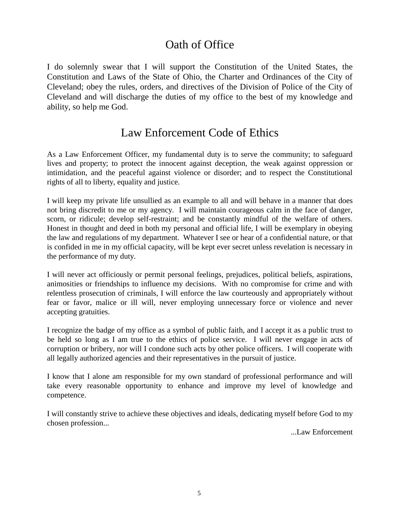## Oath of Office

I do solemnly swear that I will support the Constitution of the United States, the Constitution and Laws of the State of Ohio, the Charter and Ordinances of the City of Cleveland; obey the rules, orders, and directives of the Division of Police of the City of Cleveland and will discharge the duties of my office to the best of my knowledge and ability, so help me God.

### Law Enforcement Code of Ethics

As a Law Enforcement Officer, my fundamental duty is to serve the community; to safeguard lives and property; to protect the innocent against deception, the weak against oppression or intimidation, and the peaceful against violence or disorder; and to respect the Constitutional rights of all to liberty, equality and justice.

I will keep my private life unsullied as an example to all and will behave in a manner that does not bring discredit to me or my agency. I will maintain courageous calm in the face of danger, scorn, or ridicule; develop self-restraint; and be constantly mindful of the welfare of others. Honest in thought and deed in both my personal and official life, I will be exemplary in obeying the law and regulations of my department. Whatever I see or hear of a confidential nature, or that is confided in me in my official capacity, will be kept ever secret unless revelation is necessary in the performance of my duty.

I will never act officiously or permit personal feelings, prejudices, political beliefs, aspirations, animosities or friendships to influence my decisions. With no compromise for crime and with relentless prosecution of criminals, I will enforce the law courteously and appropriately without fear or favor, malice or ill will, never employing unnecessary force or violence and never accepting gratuities.

I recognize the badge of my office as a symbol of public faith, and I accept it as a public trust to be held so long as I am true to the ethics of police service. I will never engage in acts of corruption or bribery, nor will I condone such acts by other police officers. I will cooperate with all legally authorized agencies and their representatives in the pursuit of justice.

I know that I alone am responsible for my own standard of professional performance and will take every reasonable opportunity to enhance and improve my level of knowledge and competence.

I will constantly strive to achieve these objectives and ideals, dedicating myself before God to my chosen profession...

...Law Enforcement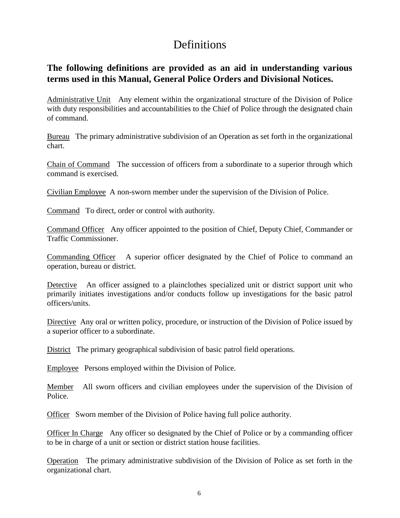## **Definitions**

### **The following definitions are provided as an aid in understanding various terms used in this Manual, General Police Orders and Divisional Notices.**

Administrative Unit Any element within the organizational structure of the Division of Police with duty responsibilities and accountabilities to the Chief of Police through the designated chain of command.

Bureau The primary administrative subdivision of an Operation as set forth in the organizational chart.

Chain of Command The succession of officers from a subordinate to a superior through which command is exercised.

Civilian Employee A non-sworn member under the supervision of the Division of Police.

Command To direct, order or control with authority.

Command Officer Any officer appointed to the position of Chief, Deputy Chief, Commander or Traffic Commissioner.

Commanding Officer A superior officer designated by the Chief of Police to command an operation, bureau or district.

Detective An officer assigned to a plainclothes specialized unit or district support unit who primarily initiates investigations and/or conducts follow up investigations for the basic patrol officers/units.

Directive Any oral or written policy, procedure, or instruction of the Division of Police issued by a superior officer to a subordinate.

District The primary geographical subdivision of basic patrol field operations.

Employee Persons employed within the Division of Police.

Member All sworn officers and civilian employees under the supervision of the Division of Police.

Officer Sworn member of the Division of Police having full police authority.

Officer In Charge Any officer so designated by the Chief of Police or by a commanding officer to be in charge of a unit or section or district station house facilities.

Operation The primary administrative subdivision of the Division of Police as set forth in the organizational chart.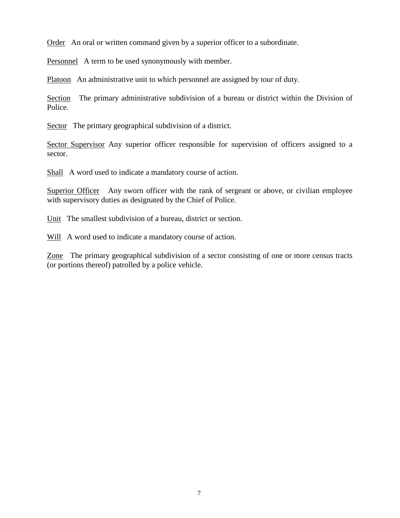Order An oral or written command given by a superior officer to a subordinate.

Personnel A term to be used synonymously with member.

Platoon An administrative unit to which personnel are assigned by tour of duty.

Section The primary administrative subdivision of a bureau or district within the Division of Police.

Sector The primary geographical subdivision of a district.

Sector Supervisor Any superior officer responsible for supervision of officers assigned to a sector.

Shall A word used to indicate a mandatory course of action.

Superior Officer Any sworn officer with the rank of sergeant or above, or civilian employee with supervisory duties as designated by the Chief of Police.

Unit The smallest subdivision of a bureau, district or section.

Will A word used to indicate a mandatory course of action.

Zone The primary geographical subdivision of a sector consisting of one or more census tracts (or portions thereof) patrolled by a police vehicle.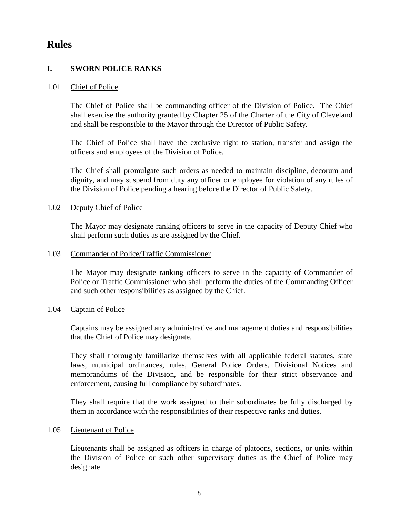### **Rules**

#### **I. SWORN POLICE RANKS**

#### 1.01 Chief of Police

The Chief of Police shall be commanding officer of the Division of Police. The Chief shall exercise the authority granted by Chapter 25 of the Charter of the City of Cleveland and shall be responsible to the Mayor through the Director of Public Safety.

The Chief of Police shall have the exclusive right to station, transfer and assign the officers and employees of the Division of Police.

The Chief shall promulgate such orders as needed to maintain discipline, decorum and dignity, and may suspend from duty any officer or employee for violation of any rules of the Division of Police pending a hearing before the Director of Public Safety.

#### 1.02 Deputy Chief of Police

The Mayor may designate ranking officers to serve in the capacity of Deputy Chief who shall perform such duties as are assigned by the Chief.

#### 1.03 Commander of Police/Traffic Commissioner

The Mayor may designate ranking officers to serve in the capacity of Commander of Police or Traffic Commissioner who shall perform the duties of the Commanding Officer and such other responsibilities as assigned by the Chief.

#### 1.04 Captain of Police

Captains may be assigned any administrative and management duties and responsibilities that the Chief of Police may designate.

They shall thoroughly familiarize themselves with all applicable federal statutes, state laws, municipal ordinances, rules, General Police Orders, Divisional Notices and memorandums of the Division, and be responsible for their strict observance and enforcement, causing full compliance by subordinates.

They shall require that the work assigned to their subordinates be fully discharged by them in accordance with the responsibilities of their respective ranks and duties.

#### 1.05 Lieutenant of Police

Lieutenants shall be assigned as officers in charge of platoons, sections, or units within the Division of Police or such other supervisory duties as the Chief of Police may designate.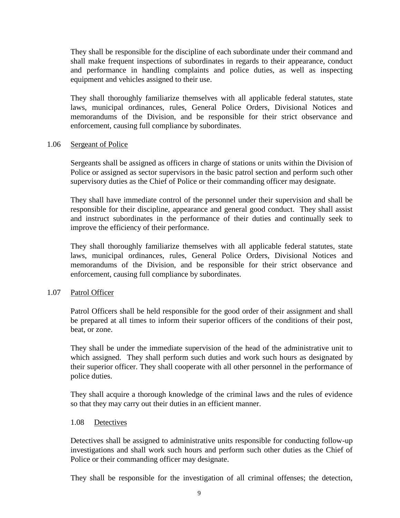They shall be responsible for the discipline of each subordinate under their command and shall make frequent inspections of subordinates in regards to their appearance, conduct and performance in handling complaints and police duties, as well as inspecting equipment and vehicles assigned to their use.

They shall thoroughly familiarize themselves with all applicable federal statutes, state laws, municipal ordinances, rules, General Police Orders, Divisional Notices and memorandums of the Division, and be responsible for their strict observance and enforcement, causing full compliance by subordinates.

#### 1.06 Sergeant of Police

Sergeants shall be assigned as officers in charge of stations or units within the Division of Police or assigned as sector supervisors in the basic patrol section and perform such other supervisory duties as the Chief of Police or their commanding officer may designate.

They shall have immediate control of the personnel under their supervision and shall be responsible for their discipline, appearance and general good conduct. They shall assist and instruct subordinates in the performance of their duties and continually seek to improve the efficiency of their performance.

They shall thoroughly familiarize themselves with all applicable federal statutes, state laws, municipal ordinances, rules, General Police Orders, Divisional Notices and memorandums of the Division, and be responsible for their strict observance and enforcement, causing full compliance by subordinates.

#### 1.07 Patrol Officer

Patrol Officers shall be held responsible for the good order of their assignment and shall be prepared at all times to inform their superior officers of the conditions of their post, beat, or zone.

They shall be under the immediate supervision of the head of the administrative unit to which assigned. They shall perform such duties and work such hours as designated by their superior officer. They shall cooperate with all other personnel in the performance of police duties.

They shall acquire a thorough knowledge of the criminal laws and the rules of evidence so that they may carry out their duties in an efficient manner.

#### 1.08 Detectives

Detectives shall be assigned to administrative units responsible for conducting follow-up investigations and shall work such hours and perform such other duties as the Chief of Police or their commanding officer may designate.

They shall be responsible for the investigation of all criminal offenses; the detection,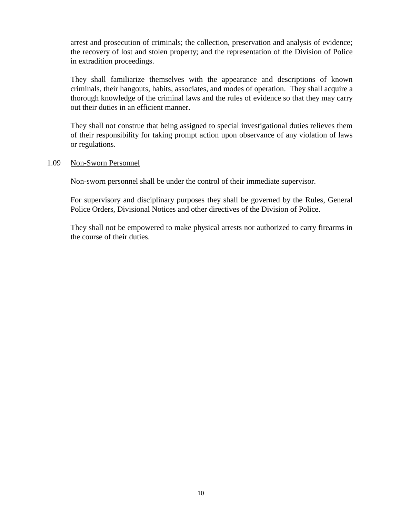arrest and prosecution of criminals; the collection, preservation and analysis of evidence; the recovery of lost and stolen property; and the representation of the Division of Police in extradition proceedings.

They shall familiarize themselves with the appearance and descriptions of known criminals, their hangouts, habits, associates, and modes of operation. They shall acquire a thorough knowledge of the criminal laws and the rules of evidence so that they may carry out their duties in an efficient manner.

They shall not construe that being assigned to special investigational duties relieves them of their responsibility for taking prompt action upon observance of any violation of laws or regulations.

#### 1.09 Non-Sworn Personnel

Non-sworn personnel shall be under the control of their immediate supervisor.

For supervisory and disciplinary purposes they shall be governed by the Rules, General Police Orders, Divisional Notices and other directives of the Division of Police.

They shall not be empowered to make physical arrests nor authorized to carry firearms in the course of their duties.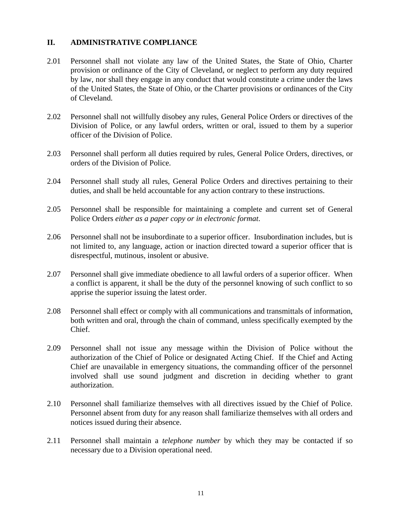#### **II. ADMINISTRATIVE COMPLIANCE**

- 2.01 Personnel shall not violate any law of the United States, the State of Ohio, Charter provision or ordinance of the City of Cleveland, or neglect to perform any duty required by law, nor shall they engage in any conduct that would constitute a crime under the laws of the United States, the State of Ohio, or the Charter provisions or ordinances of the City of Cleveland.
- 2.02 Personnel shall not willfully disobey any rules, General Police Orders or directives of the Division of Police, or any lawful orders, written or oral, issued to them by a superior officer of the Division of Police.
- 2.03 Personnel shall perform all duties required by rules, General Police Orders, directives, or orders of the Division of Police.
- 2.04 Personnel shall study all rules, General Police Orders and directives pertaining to their duties, and shall be held accountable for any action contrary to these instructions.
- 2.05 Personnel shall be responsible for maintaining a complete and current set of General Police Orders *either as a paper copy or in electronic format*.
- 2.06 Personnel shall not be insubordinate to a superior officer. Insubordination includes, but is not limited to, any language, action or inaction directed toward a superior officer that is disrespectful, mutinous, insolent or abusive.
- 2.07 Personnel shall give immediate obedience to all lawful orders of a superior officer. When a conflict is apparent, it shall be the duty of the personnel knowing of such conflict to so apprise the superior issuing the latest order.
- 2.08 Personnel shall effect or comply with all communications and transmittals of information, both written and oral, through the chain of command, unless specifically exempted by the Chief.
- 2.09 Personnel shall not issue any message within the Division of Police without the authorization of the Chief of Police or designated Acting Chief. If the Chief and Acting Chief are unavailable in emergency situations, the commanding officer of the personnel involved shall use sound judgment and discretion in deciding whether to grant authorization.
- 2.10 Personnel shall familiarize themselves with all directives issued by the Chief of Police. Personnel absent from duty for any reason shall familiarize themselves with all orders and notices issued during their absence.
- 2.11 Personnel shall maintain a *telephone number* by which they may be contacted if so necessary due to a Division operational need.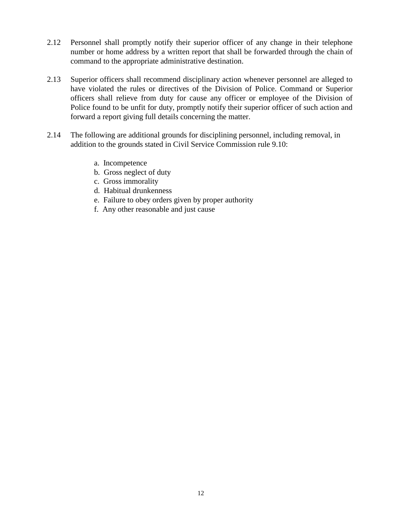- 2.12 Personnel shall promptly notify their superior officer of any change in their telephone number or home address by a written report that shall be forwarded through the chain of command to the appropriate administrative destination.
- 2.13 Superior officers shall recommend disciplinary action whenever personnel are alleged to have violated the rules or directives of the Division of Police. Command or Superior officers shall relieve from duty for cause any officer or employee of the Division of Police found to be unfit for duty, promptly notify their superior officer of such action and forward a report giving full details concerning the matter.
- 2.14 The following are additional grounds for disciplining personnel, including removal, in addition to the grounds stated in Civil Service Commission rule 9.10:
	- a. Incompetence
	- b. Gross neglect of duty
	- c. Gross immorality
	- d. Habitual drunkenness
	- e. Failure to obey orders given by proper authority
	- f. Any other reasonable and just cause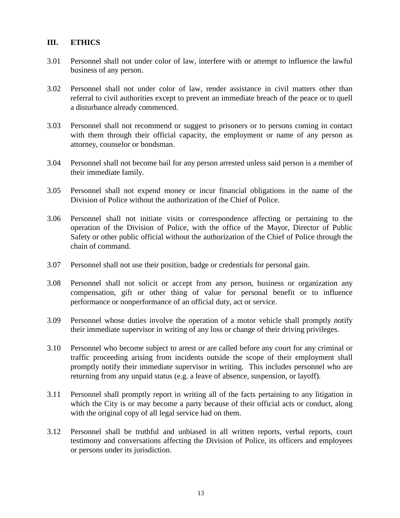#### **III. ETHICS**

- 3.01 Personnel shall not under color of law, interfere with or attempt to influence the lawful business of any person.
- 3.02 Personnel shall not under color of law, render assistance in civil matters other than referral to civil authorities except to prevent an immediate breach of the peace or to quell a disturbance already commenced.
- 3.03 Personnel shall not recommend or suggest to prisoners or to persons coming in contact with them through their official capacity, the employment or name of any person as attorney, counselor or bondsman.
- 3.04 Personnel shall not become bail for any person arrested unless said person is a member of their immediate family.
- 3.05 Personnel shall not expend money or incur financial obligations in the name of the Division of Police without the authorization of the Chief of Police.
- 3.06 Personnel shall not initiate visits or correspondence affecting or pertaining to the operation of the Division of Police, with the office of the Mayor, Director of Public Safety or other public official without the authorization of the Chief of Police through the chain of command.
- 3.07 Personnel shall not use their position, badge or credentials for personal gain.
- 3.08 Personnel shall not solicit or accept from any person, business or organization any compensation, gift or other thing of value for personal benefit or to influence performance or nonperformance of an official duty, act or service.
- 3.09 Personnel whose duties involve the operation of a motor vehicle shall promptly notify their immediate supervisor in writing of any loss or change of their driving privileges.
- 3.10 Personnel who become subject to arrest or are called before any court for any criminal or traffic proceeding arising from incidents outside the scope of their employment shall promptly notify their immediate supervisor in writing. This includes personnel who are returning from any unpaid status (e.g. a leave of absence, suspension, or layoff).
- 3.11 Personnel shall promptly report in writing all of the facts pertaining to any litigation in which the City is or may become a party because of their official acts or conduct, along with the original copy of all legal service had on them.
- 3.12 Personnel shall be truthful and unbiased in all written reports, verbal reports, court testimony and conversations affecting the Division of Police, its officers and employees or persons under its jurisdiction.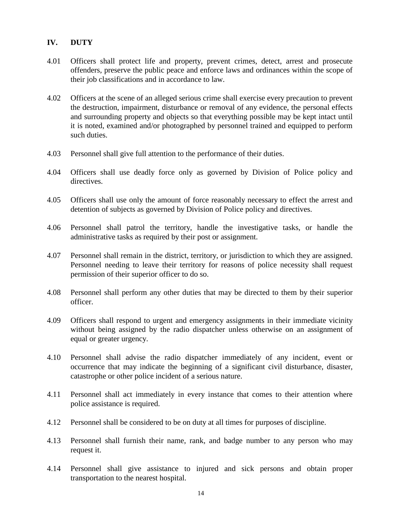#### **IV. DUTY**

- 4.01 Officers shall protect life and property, prevent crimes, detect, arrest and prosecute offenders, preserve the public peace and enforce laws and ordinances within the scope of their job classifications and in accordance to law.
- 4.02 Officers at the scene of an alleged serious crime shall exercise every precaution to prevent the destruction, impairment, disturbance or removal of any evidence, the personal effects and surrounding property and objects so that everything possible may be kept intact until it is noted, examined and/or photographed by personnel trained and equipped to perform such duties.
- 4.03 Personnel shall give full attention to the performance of their duties.
- 4.04 Officers shall use deadly force only as governed by Division of Police policy and directives.
- 4.05 Officers shall use only the amount of force reasonably necessary to effect the arrest and detention of subjects as governed by Division of Police policy and directives.
- 4.06 Personnel shall patrol the territory, handle the investigative tasks, or handle the administrative tasks as required by their post or assignment.
- 4.07 Personnel shall remain in the district, territory, or jurisdiction to which they are assigned. Personnel needing to leave their territory for reasons of police necessity shall request permission of their superior officer to do so.
- 4.08 Personnel shall perform any other duties that may be directed to them by their superior officer.
- 4.09 Officers shall respond to urgent and emergency assignments in their immediate vicinity without being assigned by the radio dispatcher unless otherwise on an assignment of equal or greater urgency.
- 4.10 Personnel shall advise the radio dispatcher immediately of any incident, event or occurrence that may indicate the beginning of a significant civil disturbance, disaster, catastrophe or other police incident of a serious nature.
- 4.11 Personnel shall act immediately in every instance that comes to their attention where police assistance is required.
- 4.12 Personnel shall be considered to be on duty at all times for purposes of discipline.
- 4.13 Personnel shall furnish their name, rank, and badge number to any person who may request it.
- 4.14 Personnel shall give assistance to injured and sick persons and obtain proper transportation to the nearest hospital.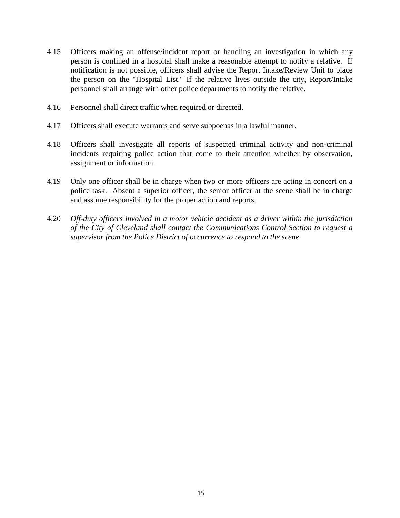- 4.15 Officers making an offense/incident report or handling an investigation in which any person is confined in a hospital shall make a reasonable attempt to notify a relative. If notification is not possible, officers shall advise the Report Intake/Review Unit to place the person on the "Hospital List." If the relative lives outside the city, Report/Intake personnel shall arrange with other police departments to notify the relative.
- 4.16 Personnel shall direct traffic when required or directed.
- 4.17 Officers shall execute warrants and serve subpoenas in a lawful manner.
- 4.18 Officers shall investigate all reports of suspected criminal activity and non-criminal incidents requiring police action that come to their attention whether by observation, assignment or information.
- 4.19 Only one officer shall be in charge when two or more officers are acting in concert on a police task. Absent a superior officer, the senior officer at the scene shall be in charge and assume responsibility for the proper action and reports.
- 4.20 *Off-duty officers involved in a motor vehicle accident as a driver within the jurisdiction of the City of Cleveland shall contact the Communications Control Section to request a supervisor from the Police District of occurrence to respond to the scene*.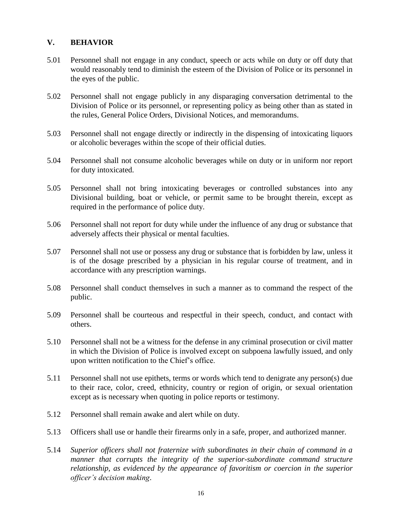#### **V. BEHAVIOR**

- 5.01 Personnel shall not engage in any conduct, speech or acts while on duty or off duty that would reasonably tend to diminish the esteem of the Division of Police or its personnel in the eyes of the public.
- 5.02 Personnel shall not engage publicly in any disparaging conversation detrimental to the Division of Police or its personnel, or representing policy as being other than as stated in the rules, General Police Orders, Divisional Notices, and memorandums.
- 5.03 Personnel shall not engage directly or indirectly in the dispensing of intoxicating liquors or alcoholic beverages within the scope of their official duties.
- 5.04 Personnel shall not consume alcoholic beverages while on duty or in uniform nor report for duty intoxicated.
- 5.05 Personnel shall not bring intoxicating beverages or controlled substances into any Divisional building, boat or vehicle, or permit same to be brought therein, except as required in the performance of police duty.
- 5.06 Personnel shall not report for duty while under the influence of any drug or substance that adversely affects their physical or mental faculties.
- 5.07 Personnel shall not use or possess any drug or substance that is forbidden by law, unless it is of the dosage prescribed by a physician in his regular course of treatment, and in accordance with any prescription warnings.
- 5.08 Personnel shall conduct themselves in such a manner as to command the respect of the public.
- 5.09 Personnel shall be courteous and respectful in their speech, conduct, and contact with others.
- 5.10 Personnel shall not be a witness for the defense in any criminal prosecution or civil matter in which the Division of Police is involved except on subpoena lawfully issued, and only upon written notification to the Chief's office.
- 5.11 Personnel shall not use epithets, terms or words which tend to denigrate any person(s) due to their race, color, creed, ethnicity, country or region of origin, or sexual orientation except as is necessary when quoting in police reports or testimony.
- 5.12 Personnel shall remain awake and alert while on duty.
- 5.13 Officers shall use or handle their firearms only in a safe, proper, and authorized manner.
- 5.14 *Superior officers shall not fraternize with subordinates in their chain of command in a manner that corrupts the integrity of the superior-subordinate command structure relationship, as evidenced by the appearance of favoritism or coercion in the superior officer's decision making*.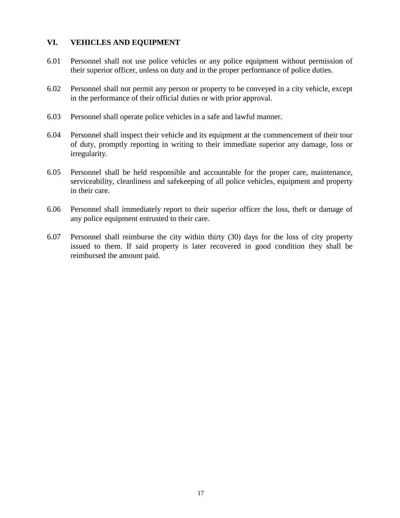#### **VI. VEHICLES AND EQUIPMENT**

- 6.01 Personnel shall not use police vehicles or any police equipment without permission of their superior officer, unless on duty and in the proper performance of police duties.
- 6.02 Personnel shall not permit any person or property to be conveyed in a city vehicle, except in the performance of their official duties or with prior approval.
- 6.03 Personnel shall operate police vehicles in a safe and lawful manner.
- 6.04 Personnel shall inspect their vehicle and its equipment at the commencement of their tour of duty, promptly reporting in writing to their immediate superior any damage, loss or irregularity.
- 6.05 Personnel shall be held responsible and accountable for the proper care, maintenance, serviceability, cleanliness and safekeeping of all police vehicles, equipment and property in their care.
- 6.06 Personnel shall immediately report to their superior officer the loss, theft or damage of any police equipment entrusted to their care.
- 6.07 Personnel shall reimburse the city within thirty (30) days for the loss of city property issued to them. If said property is later recovered in good condition they shall be reimbursed the amount paid.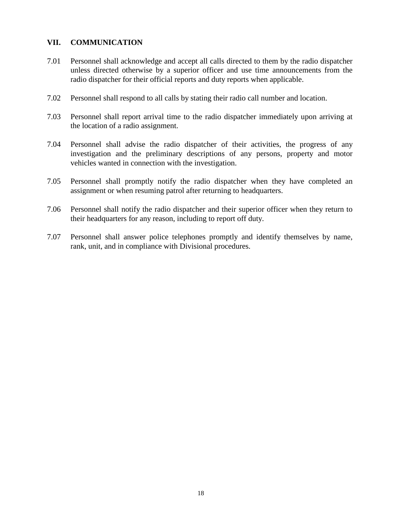#### **VII. COMMUNICATION**

- 7.01 Personnel shall acknowledge and accept all calls directed to them by the radio dispatcher unless directed otherwise by a superior officer and use time announcements from the radio dispatcher for their official reports and duty reports when applicable.
- 7.02 Personnel shall respond to all calls by stating their radio call number and location.
- 7.03 Personnel shall report arrival time to the radio dispatcher immediately upon arriving at the location of a radio assignment.
- 7.04 Personnel shall advise the radio dispatcher of their activities, the progress of any investigation and the preliminary descriptions of any persons, property and motor vehicles wanted in connection with the investigation.
- 7.05 Personnel shall promptly notify the radio dispatcher when they have completed an assignment or when resuming patrol after returning to headquarters.
- 7.06 Personnel shall notify the radio dispatcher and their superior officer when they return to their headquarters for any reason, including to report off duty.
- 7.07 Personnel shall answer police telephones promptly and identify themselves by name, rank, unit, and in compliance with Divisional procedures.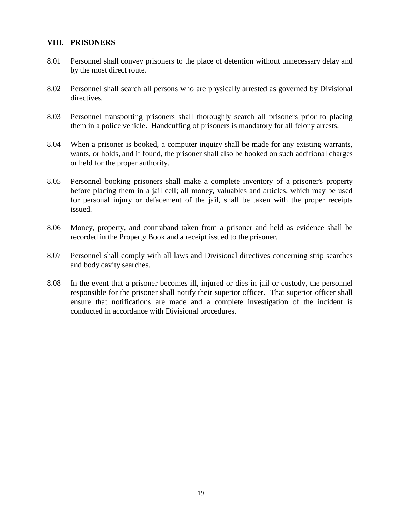#### **VIII. PRISONERS**

- 8.01 Personnel shall convey prisoners to the place of detention without unnecessary delay and by the most direct route.
- 8.02 Personnel shall search all persons who are physically arrested as governed by Divisional directives.
- 8.03 Personnel transporting prisoners shall thoroughly search all prisoners prior to placing them in a police vehicle. Handcuffing of prisoners is mandatory for all felony arrests.
- 8.04 When a prisoner is booked, a computer inquiry shall be made for any existing warrants, wants, or holds, and if found, the prisoner shall also be booked on such additional charges or held for the proper authority.
- 8.05 Personnel booking prisoners shall make a complete inventory of a prisoner's property before placing them in a jail cell; all money, valuables and articles, which may be used for personal injury or defacement of the jail, shall be taken with the proper receipts issued.
- 8.06 Money, property, and contraband taken from a prisoner and held as evidence shall be recorded in the Property Book and a receipt issued to the prisoner.
- 8.07 Personnel shall comply with all laws and Divisional directives concerning strip searches and body cavity searches.
- 8.08 In the event that a prisoner becomes ill, injured or dies in jail or custody, the personnel responsible for the prisoner shall notify their superior officer. That superior officer shall ensure that notifications are made and a complete investigation of the incident is conducted in accordance with Divisional procedures.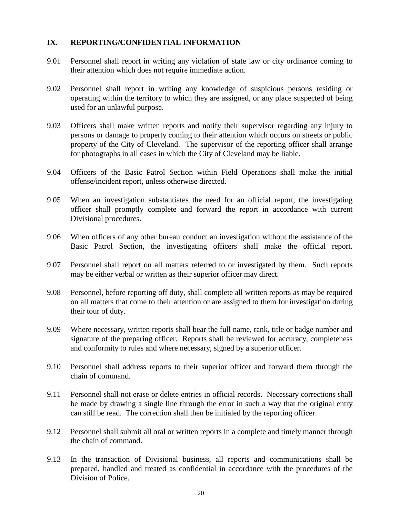#### **IX. REPORTING/CONFIDENTIAL INFORMATION**

- 9.01 Personnel shall report in writing any violation of state law or city ordinance coming to their attention which does not require immediate action.
- 9.02 Personnel shall report in writing any knowledge of suspicious persons residing or operating within the territory to which they are assigned, or any place suspected of being used for an unlawful purpose.
- 9.03 Officers shall make written reports and notify their supervisor regarding any injury to persons or damage to property coming to their attention which occurs on streets or public property of the City of Cleveland. The supervisor of the reporting officer shall arrange for photographs in all cases in which the City of Cleveland may be liable.
- 9.04 Officers of the Basic Patrol Section within Field Operations shall make the initial offense/incident report, unless otherwise directed.
- 9.05 When an investigation substantiates the need for an official report, the investigating officer shall promptly complete and forward the report in accordance with current Divisional procedures.
- 9.06 When officers of any other bureau conduct an investigation without the assistance of the Basic Patrol Section, the investigating officers shall make the official report.
- 9.07 Personnel shall report on all matters referred to or investigated by them. Such reports may be either verbal or written as their superior officer may direct.
- 9.08 Personnel, before reporting off duty, shall complete all written reports as may be required on all matters that come to their attention or are assigned to them for investigation during their tour of duty.
- 9.09 Where necessary, written reports shall bear the full name, rank, title or badge number and signature of the preparing officer. Reports shall be reviewed for accuracy, completeness and conformity to rules and where necessary, signed by a superior officer.
- 9.10 Personnel shall address reports to their superior officer and forward them through the chain of command.
- 9.11 Personnel shall not erase or delete entries in official records. Necessary corrections shall be made by drawing a single line through the error in such a way that the original entry can still be read. The correction shall then be initialed by the reporting officer.
- 9.12 Personnel shall submit all oral or written reports in a complete and timely manner through the chain of command.
- 9.13 In the transaction of Divisional business, all reports and communications shall be prepared, handled and treated as confidential in accordance with the procedures of the Division of Police.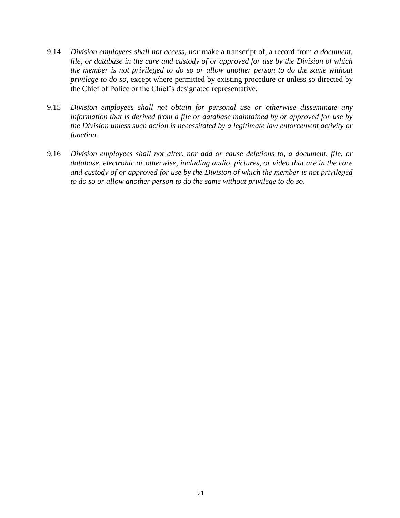- 9.14 *Division employees shall not access, nor* make a transcript of, a record from *a document, file, or database in the care and custody of or approved for use by the Division of which the member is not privileged to do so or allow another person to do the same without privilege to do so*, except where permitted by existing procedure or unless so directed by the Chief of Police or the Chief's designated representative.
- 9.15 *Division employees shall not obtain for personal use or otherwise disseminate any information that is derived from a file or database maintained by or approved for use by the Division unless such action is necessitated by a legitimate law enforcement activity or function.*
- 9.16 *Division employees shall not alter, nor add or cause deletions to, a document, file, or database, electronic or otherwise, including audio, pictures, or video that are in the care and custody of or approved for use by the Division of which the member is not privileged to do so or allow another person to do the same without privilege to do so*.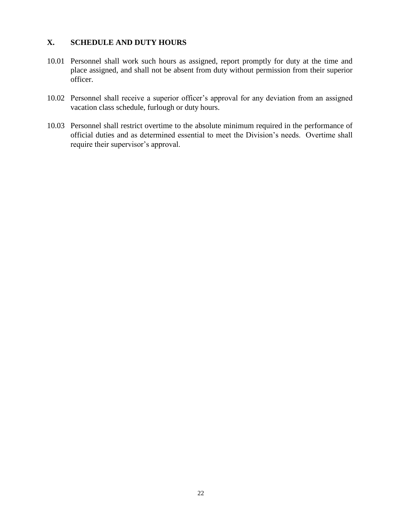#### **X. SCHEDULE AND DUTY HOURS**

- 10.01 Personnel shall work such hours as assigned, report promptly for duty at the time and place assigned, and shall not be absent from duty without permission from their superior officer.
- 10.02 Personnel shall receive a superior officer's approval for any deviation from an assigned vacation class schedule, furlough or duty hours.
- 10.03 Personnel shall restrict overtime to the absolute minimum required in the performance of official duties and as determined essential to meet the Division's needs. Overtime shall require their supervisor's approval.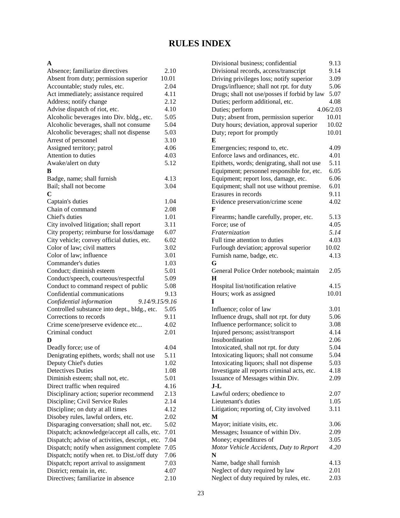### **RULES INDEX**

#### **A**

| Absence; familiarize directives                 | 2.10         |  |  |
|-------------------------------------------------|--------------|--|--|
| Absent from duty; permission superior           | 10.01        |  |  |
| Accountable; study rules, etc.                  | 2.04         |  |  |
| Act immediately; assistance required            |              |  |  |
| Address; notify change                          | 4.11<br>2.12 |  |  |
| Advise dispatch of riot, etc.                   | 4.10         |  |  |
| Alcoholic beverages into Div. bldg., etc.       | 5.05         |  |  |
| Alcoholic beverages, shall not consume          | 5.04         |  |  |
| Alcoholic beverages; shall not dispense         | 5.03         |  |  |
| Arrest of personnel                             | 3.10         |  |  |
| Assigned territory; patrol                      | 4.06         |  |  |
| Attention to duties                             | 4.03         |  |  |
|                                                 |              |  |  |
| Awake/alert on duty                             | 5.12         |  |  |
| в                                               |              |  |  |
| Badge, name; shall furnish                      | 4.13         |  |  |
| Bail; shall not become                          | 3.04         |  |  |
| C                                               |              |  |  |
| Captain's duties                                | 1.04         |  |  |
| Chain of command                                | 2.08         |  |  |
| Chief's duties                                  | 1.01         |  |  |
| City involved litigation; shall report          | 3.11         |  |  |
| City property; reimburse for loss/damage        | 6.07         |  |  |
| City vehicle; convey official duties, etc.      | 6.02         |  |  |
| Color of law; civil matters                     | 3.02         |  |  |
| Color of law; influence                         | 3.01         |  |  |
| Commander's duties                              | 1.03         |  |  |
| Conduct; diminish esteem                        | 5.01         |  |  |
| Conduct/speech, courteous/respectful            | 5.09         |  |  |
| Conduct to command respect of public            | 5.08         |  |  |
| Confidential communications                     | 9.13         |  |  |
| 9.14/9.15/9.16<br>Confidential information      |              |  |  |
| Controlled substance into dept., bldg., etc.    | 5.05         |  |  |
| Corrections to records                          | 9.11         |  |  |
| Crime scene/preserve evidence etc               | 4.02         |  |  |
| Criminal conduct                                | 2.01         |  |  |
| D                                               |              |  |  |
| Deadly force; use of                            | 4.04         |  |  |
| Denigrating epithets, words; shall not use      | 5.11         |  |  |
| Deputy Chief's duties                           | 1.02         |  |  |
| <b>Detectives Duties</b>                        | 1.08         |  |  |
|                                                 |              |  |  |
| Diminish esteem; shall not, etc.                | 5.01         |  |  |
| Direct traffic when required                    | 4.16         |  |  |
| Disciplinary action; superior recommend         | 2.13         |  |  |
| Discipline; Civil Service Rules                 | 2.14         |  |  |
| Discipline; on duty at all times                | 4.12         |  |  |
| Disobey rules, lawful orders, etc.              | 2.02         |  |  |
| Disparaging conversation; shall not, etc.       | 5.02         |  |  |
| Dispatch; acknowledge/accept all calls, etc.    | 7.01         |  |  |
| Dispatch; advise of activities, descript., etc. | 7.04         |  |  |
| Dispatch; notify when assignment complete       | 7.05         |  |  |
| Dispatch; notify when ret. to Dist./off duty    | 7.06         |  |  |
| Dispatch; report arrival to assignment          | 7.03         |  |  |
| District; remain in, etc.                       | 4.07         |  |  |
| Directives; familiarize in absence              | 2.10         |  |  |
|                                                 |              |  |  |

| Divisional business; confidential                                                       | 9.13      |
|-----------------------------------------------------------------------------------------|-----------|
| Divisional records, access/transcript                                                   | 9.14      |
| Driving privileges loss; notify superior                                                | 3.09      |
| Drugs/influence; shall not rpt. for duty                                                | 5.06      |
| Drugs; shall not use/posses if forbid by law                                            | 5.07      |
| Duties; perform additional, etc.                                                        | 4.08      |
| Duties; perform                                                                         | 4.06/2.03 |
| Duty; absent from, permission superior                                                  | 10.01     |
|                                                                                         | 10.02     |
| Duty hours; deviation, approval superior                                                |           |
| Duty; report for promptly                                                               | 10.01     |
| Emergencies; respond to, etc.                                                           | 4.09      |
| Enforce laws and ordinances, etc.                                                       | 4.01      |
| Epithets, words; denigrating, shall not use                                             | 5.11      |
| Equipment; personnel responsible for, etc.                                              | 6.05      |
| Equipment; report loss, damage, etc.                                                    | 6.06      |
| Equipment; shall not use without premise.                                               | 6.01      |
| Erasures in records                                                                     | 9.11      |
| Evidence preservation/crime scene                                                       | 4.02      |
| F                                                                                       |           |
| Firearms; handle carefully, proper, etc.                                                | 5.13      |
| Force; use of                                                                           | 4.05      |
| Fraternization                                                                          | 5.14      |
| Full time attention to duties                                                           | 4.03      |
| Furlough deviation; approval superior                                                   | 10.02     |
| Furnish name, badge, etc.                                                               | 4.13      |
| G                                                                                       |           |
| General Police Order notebook; maintain                                                 | 2.05      |
| Н                                                                                       |           |
| Hospital list/notification relative                                                     | 4.15      |
| Hours; work as assigned                                                                 | 10.01     |
|                                                                                         |           |
| Influence; color of law                                                                 | 3.01      |
| Influence drugs, shall not rpt. for duty                                                | 5.06      |
| Influence performance; solicit to                                                       | 3.08      |
| Injured persons; assist/transport                                                       | 4.14      |
| Insubordination                                                                         | 2.06      |
| Intoxicated, shall not rpt. for duty                                                    | 5.04      |
|                                                                                         | 5.04      |
| Intoxicating liquors; shall not consume                                                 | 5.03      |
| Intoxicating liquors; shall not dispense<br>Investigate all reports criminal acts, etc. | 4.18      |
|                                                                                         |           |
| Issuance of Messages within Div.                                                        | 2.09      |
| $J-L$                                                                                   |           |
| Lawful orders; obedience to                                                             | 2.07      |
| Lieutenant's duties                                                                     | 1.05      |
| Litigation; reporting of, City involved                                                 | 3.11      |
| M                                                                                       |           |
| Mayor; initiate visits, etc.                                                            | 3.06      |
| Messages; Issuance of within Div.                                                       | 2.09      |
| Money; expenditures of                                                                  | 3.05      |
| Motor Vehicle Accidents, Duty to Report                                                 | 4.20      |
| N                                                                                       |           |
| Name, badge shall furnish                                                               | 4.13      |
| Neglect of duty required by law                                                         | 2.01      |
| Neglect of duty required by rules, etc.                                                 | 2.03      |